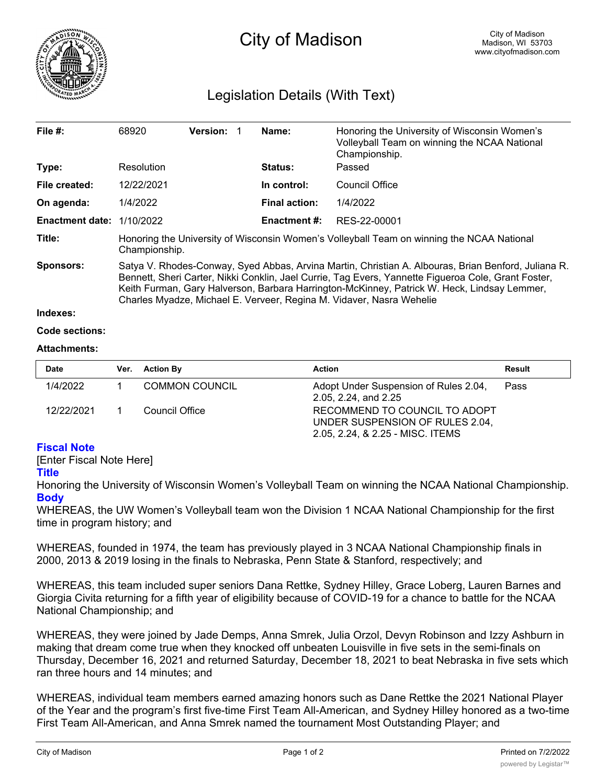

# Legislation Details (With Text)

| File $#$ :                  | 68920                                                                                                                                                                                                                                                                                                                                                                             | <b>Version:</b> |  | Name:                | Honoring the University of Wisconsin Women's<br>Volleyball Team on winning the NCAA National<br>Championship. |  |  |
|-----------------------------|-----------------------------------------------------------------------------------------------------------------------------------------------------------------------------------------------------------------------------------------------------------------------------------------------------------------------------------------------------------------------------------|-----------------|--|----------------------|---------------------------------------------------------------------------------------------------------------|--|--|
| Type:                       | Resolution                                                                                                                                                                                                                                                                                                                                                                        |                 |  | <b>Status:</b>       | Passed                                                                                                        |  |  |
| File created:               | 12/22/2021                                                                                                                                                                                                                                                                                                                                                                        |                 |  | In control:          | Council Office                                                                                                |  |  |
| On agenda:                  | 1/4/2022                                                                                                                                                                                                                                                                                                                                                                          |                 |  | <b>Final action:</b> | 1/4/2022                                                                                                      |  |  |
| Enactment date: $1/10/2022$ |                                                                                                                                                                                                                                                                                                                                                                                   |                 |  | Enactment #:         | RES-22-00001                                                                                                  |  |  |
| Title:                      | Honoring the University of Wisconsin Women's Volleyball Team on winning the NCAA National<br>Championship.                                                                                                                                                                                                                                                                        |                 |  |                      |                                                                                                               |  |  |
| Sponsors:                   | Satya V. Rhodes-Conway, Syed Abbas, Arvina Martin, Christian A. Albouras, Brian Benford, Juliana R.<br>Bennett, Sheri Carter, Nikki Conklin, Jael Currie, Tag Evers, Yannette Figueroa Cole, Grant Foster,<br>Keith Furman, Gary Halverson, Barbara Harrington-McKinney, Patrick W. Heck, Lindsay Lemmer,<br>Charles Myadze, Michael E. Verveer, Regina M. Vidaver, Nasra Wehelie |                 |  |                      |                                                                                                               |  |  |
| Indexes:                    |                                                                                                                                                                                                                                                                                                                                                                                   |                 |  |                      |                                                                                                               |  |  |

### **Code sections:**

### **Attachments:**

| <b>Date</b> | Ver. Action By        | <b>Action</b>                                                                                        | Result |
|-------------|-----------------------|------------------------------------------------------------------------------------------------------|--------|
| 1/4/2022    | <b>COMMON COUNCIL</b> | Adopt Under Suspension of Rules 2.04,<br>2.05, 2.24, and 2.25                                        | Pass   |
| 12/22/2021  | Council Office        | RECOMMEND TO COUNCIL TO ADOPT<br>UNDER SUSPENSION OF RULES 2.04,<br>2.05, 2.24, & 2.25 - MISC. ITEMS |        |

## **Fiscal Note**

[Enter Fiscal Note Here]

### **Title**

Honoring the University of Wisconsin Women's Volleyball Team on winning the NCAA National Championship. **Body**

WHEREAS, the UW Women's Volleyball team won the Division 1 NCAA National Championship for the first time in program history; and

WHEREAS, founded in 1974, the team has previously played in 3 NCAA National Championship finals in 2000, 2013 & 2019 losing in the finals to Nebraska, Penn State & Stanford, respectively; and

WHEREAS, this team included super seniors Dana Rettke, Sydney Hilley, Grace Loberg, Lauren Barnes and Giorgia Civita returning for a fifth year of eligibility because of COVID-19 for a chance to battle for the NCAA National Championship; and

WHEREAS, they were joined by Jade Demps, Anna Smrek, Julia Orzol, Devyn Robinson and Izzy Ashburn in making that dream come true when they knocked off unbeaten Louisville in five sets in the semi-finals on Thursday, December 16, 2021 and returned Saturday, December 18, 2021 to beat Nebraska in five sets which ran three hours and 14 minutes; and

WHEREAS, individual team members earned amazing honors such as Dane Rettke the 2021 National Player of the Year and the program's first five-time First Team All-American, and Sydney Hilley honored as a two-time First Team All-American, and Anna Smrek named the tournament Most Outstanding Player; and